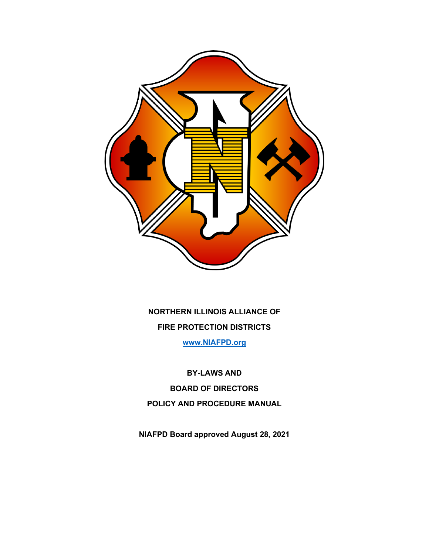

**NORTHERN ILLINOIS ALLIANCE OF FIRE PROTECTION DISTRICTS**

**[www.NIAFPD.org](http://www.niafpd.org/)**

**BY-LAWS AND BOARD OF DIRECTORS POLICY AND PROCEDURE MANUAL**

**NIAFPD Board approved August 28, 2021**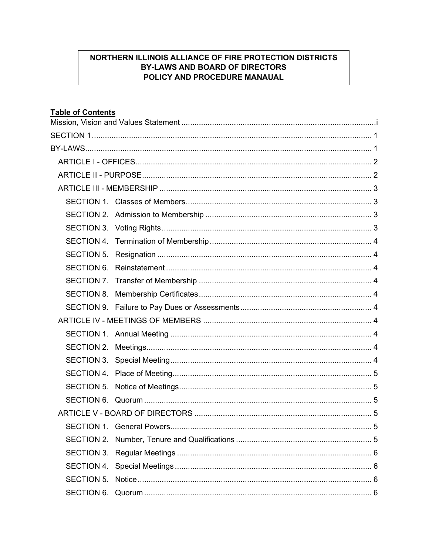# NORTHERN ILLINOIS ALLIANCE OF FIRE PROTECTION DISTRICTS BY-LAWS AND BOARD OF DIRECTORS POLICY AND PROCEDURE MANAUAL

# **Table of Contents**

| SECTION 4.        |  |  |
|-------------------|--|--|
| SECTION 5.        |  |  |
| <b>SECTION 6.</b> |  |  |
| SECTION 7.        |  |  |
| <b>SECTION 8.</b> |  |  |
|                   |  |  |
|                   |  |  |
|                   |  |  |
| SECTION 2.        |  |  |
| SECTION 3.        |  |  |
| SECTION 4.        |  |  |
| <b>SECTION 5.</b> |  |  |
| SECTION 6.        |  |  |
|                   |  |  |
|                   |  |  |
|                   |  |  |
| SECTION 3.        |  |  |
| SECTION 4.        |  |  |
| <b>SECTION 5.</b> |  |  |
| <b>SECTION 6.</b> |  |  |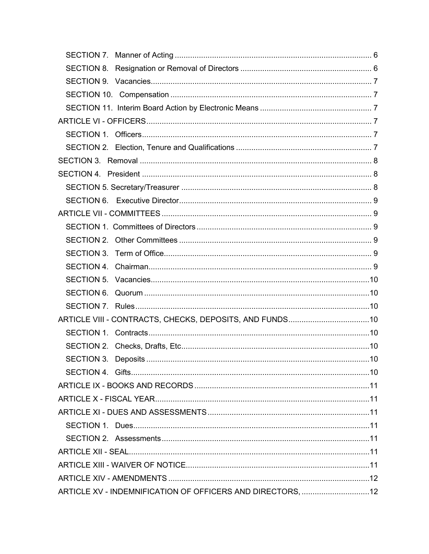| SECTION 6.                                                 |  |
|------------------------------------------------------------|--|
|                                                            |  |
| ARTICLE VIII - CONTRACTS, CHECKS, DEPOSITS, AND FUNDS10    |  |
|                                                            |  |
|                                                            |  |
|                                                            |  |
|                                                            |  |
|                                                            |  |
|                                                            |  |
|                                                            |  |
|                                                            |  |
|                                                            |  |
|                                                            |  |
|                                                            |  |
|                                                            |  |
| ARTICLE XV - INDEMNIFICATION OF OFFICERS AND DIRECTORS, 12 |  |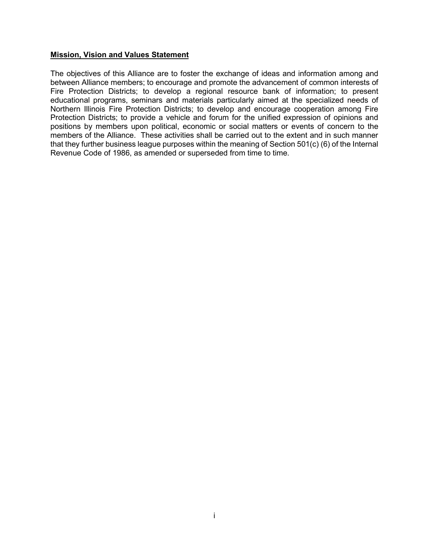#### <span id="page-4-0"></span>**Mission, Vision and Values Statement**

The objectives of this Alliance are to foster the exchange of ideas and information among and between Alliance members; to encourage and promote the advancement of common interests of Fire Protection Districts; to develop a regional resource bank of information; to present educational programs, seminars and materials particularly aimed at the specialized needs of Northern Illinois Fire Protection Districts; to develop and encourage cooperation among Fire Protection Districts; to provide a vehicle and forum for the unified expression of opinions and positions by members upon political, economic or social matters or events of concern to the members of the Alliance. These activities shall be carried out to the extent and in such manner that they further business league purposes within the meaning of Section 501(c) (6) of the Internal Revenue Code of 1986, as amended or superseded from time to time.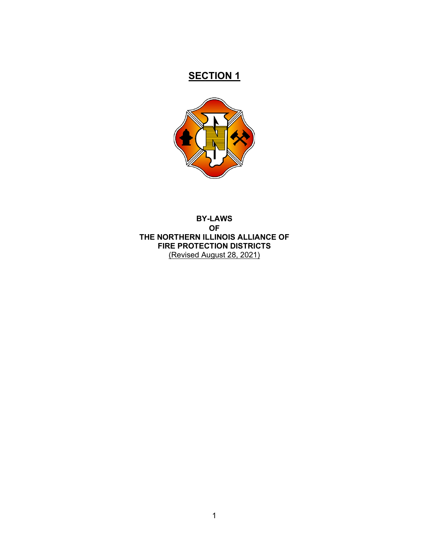# **SECTION 1**

<span id="page-5-0"></span>

<span id="page-5-1"></span>**BY-LAWS OF THE NORTHERN ILLINOIS ALLIANCE OF FIRE PROTECTION DISTRICTS** (Revised August 28, 2021)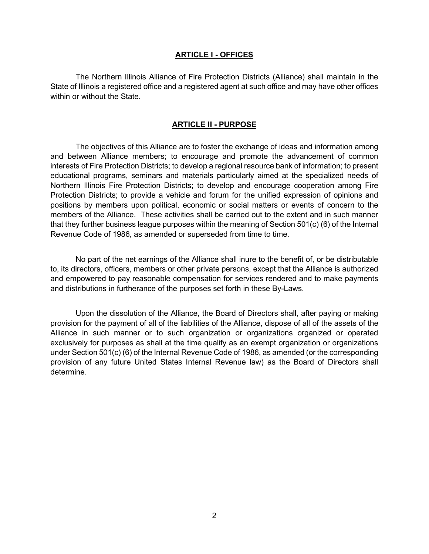#### **ARTICLE I - OFFICES**

<span id="page-6-0"></span>The Northern Illinois Alliance of Fire Protection Districts (Alliance) shall maintain in the State of Illinois a registered office and a registered agent at such office and may have other offices within or without the State.

#### **ARTICLE II - PURPOSE**

<span id="page-6-1"></span>The objectives of this Alliance are to foster the exchange of ideas and information among and between Alliance members; to encourage and promote the advancement of common interests of Fire Protection Districts; to develop a regional resource bank of information; to present educational programs, seminars and materials particularly aimed at the specialized needs of Northern Illinois Fire Protection Districts; to develop and encourage cooperation among Fire Protection Districts; to provide a vehicle and forum for the unified expression of opinions and positions by members upon political, economic or social matters or events of concern to the members of the Alliance. These activities shall be carried out to the extent and in such manner that they further business league purposes within the meaning of Section 501(c) (6) of the Internal Revenue Code of 1986, as amended or superseded from time to time.

No part of the net earnings of the Alliance shall inure to the benefit of, or be distributable to, its directors, officers, members or other private persons, except that the Alliance is authorized and empowered to pay reasonable compensation for services rendered and to make payments and distributions in furtherance of the purposes set forth in these By-Laws.

Upon the dissolution of the Alliance, the Board of Directors shall, after paying or making provision for the payment of all of the liabilities of the Alliance, dispose of all of the assets of the Alliance in such manner or to such organization or organizations organized or operated exclusively for purposes as shall at the time qualify as an exempt organization or organizations under Section 501(c) (6) of the Internal Revenue Code of 1986, as amended (or the corresponding provision of any future United States Internal Revenue law) as the Board of Directors shall determine.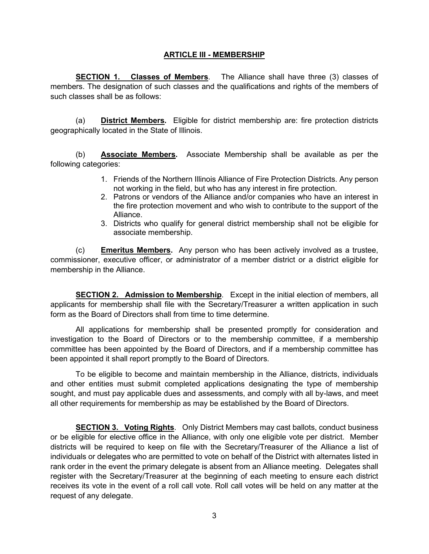#### **ARTICLE III - MEMBERSHIP**

<span id="page-7-1"></span><span id="page-7-0"></span>**SECTION 1. Classes of Members**. The Alliance shall have three (3) classes of members. The designation of such classes and the qualifications and rights of the members of such classes shall be as follows:

(a) **District Members.** Eligible for district membership are: fire protection districts geographically located in the State of Illinois.

(b) **Associate Members.** Associate Membership shall be available as per the following categories:

- 1. Friends of the Northern Illinois Alliance of Fire Protection Districts. Any person not working in the field, but who has any interest in fire protection.
- 2. Patrons or vendors of the Alliance and/or companies who have an interest in the fire protection movement and who wish to contribute to the support of the Alliance.
- 3. Districts who qualify for general district membership shall not be eligible for associate membership.

(c) **Emeritus Members.** Any person who has been actively involved as a trustee, commissioner, executive officer, or administrator of a member district or a district eligible for membership in the Alliance.

<span id="page-7-2"></span>**SECTION 2. Admission to Membership**. Except in the initial election of members, all applicants for membership shall file with the Secretary/Treasurer a written application in such form as the Board of Directors shall from time to time determine.

All applications for membership shall be presented promptly for consideration and investigation to the Board of Directors or to the membership committee, if a membership committee has been appointed by the Board of Directors, and if a membership committee has been appointed it shall report promptly to the Board of Directors.

To be eligible to become and maintain membership in the Alliance, districts, individuals and other entities must submit completed applications designating the type of membership sought, and must pay applicable dues and assessments, and comply with all by-laws, and meet all other requirements for membership as may be established by the Board of Directors.

<span id="page-7-3"></span>**SECTION 3. Voting Rights**. Only District Members may cast ballots, conduct business or be eligible for elective office in the Alliance, with only one eligible vote per district. Member districts will be required to keep on file with the Secretary/Treasurer of the Alliance a list of individuals or delegates who are permitted to vote on behalf of the District with alternates listed in rank order in the event the primary delegate is absent from an Alliance meeting. Delegates shall register with the Secretary/Treasurer at the beginning of each meeting to ensure each district receives its vote in the event of a roll call vote. Roll call votes will be held on any matter at the request of any delegate.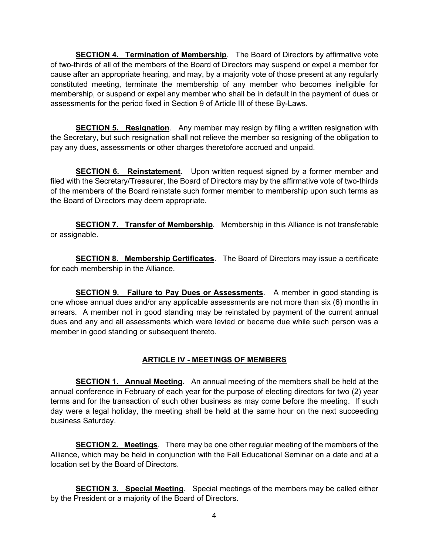<span id="page-8-0"></span>**SECTION 4. Termination of Membership**. The Board of Directors by affirmative vote of two-thirds of all of the members of the Board of Directors may suspend or expel a member for cause after an appropriate hearing, and may, by a majority vote of those present at any regularly constituted meeting, terminate the membership of any member who becomes ineligible for membership, or suspend or expel any member who shall be in default in the payment of dues or assessments for the period fixed in Section 9 of Article III of these By-Laws.

<span id="page-8-1"></span>**SECTION 5. Resignation**. Any member may resign by filing a written resignation with the Secretary, but such resignation shall not relieve the member so resigning of the obligation to pay any dues, assessments or other charges theretofore accrued and unpaid.

<span id="page-8-2"></span>**SECTION 6. Reinstatement**. Upon written request signed by a former member and filed with the Secretary/Treasurer, the Board of Directors may by the affirmative vote of two-thirds of the members of the Board reinstate such former member to membership upon such terms as the Board of Directors may deem appropriate.

<span id="page-8-3"></span>**SECTION 7. Transfer of Membership**. Membership in this Alliance is not transferable or assignable.

<span id="page-8-4"></span>**SECTION 8. Membership Certificates**. The Board of Directors may issue a certificate for each membership in the Alliance.

<span id="page-8-5"></span>**SECTION 9. Failure to Pay Dues or Assessments**. A member in good standing is one whose annual dues and/or any applicable assessments are not more than six (6) months in arrears. A member not in good standing may be reinstated by payment of the current annual dues and any and all assessments which were levied or became due while such person was a member in good standing or subsequent thereto.

## **ARTICLE IV - MEETINGS OF MEMBERS**

<span id="page-8-7"></span><span id="page-8-6"></span>**SECTION 1. Annual Meeting**. An annual meeting of the members shall be held at the annual conference in February of each year for the purpose of electing directors for two (2) year terms and for the transaction of such other business as may come before the meeting. If such day were a legal holiday, the meeting shall be held at the same hour on the next succeeding business Saturday.

<span id="page-8-8"></span>**SECTION 2. Meetings**. There may be one other regular meeting of the members of the Alliance, which may be held in conjunction with the Fall Educational Seminar on a date and at a location set by the Board of Directors.

<span id="page-8-9"></span>**SECTION 3. Special Meeting**. Special meetings of the members may be called either by the President or a majority of the Board of Directors.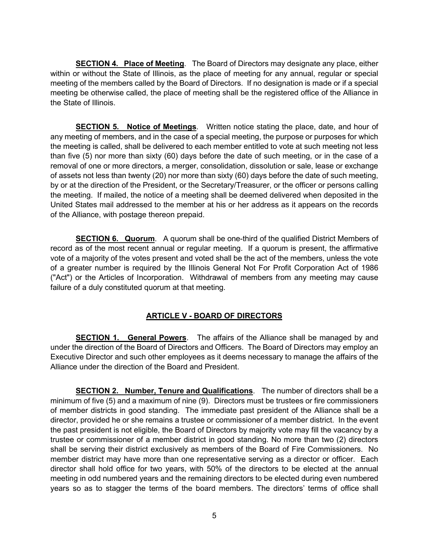<span id="page-9-0"></span>**SECTION 4. Place of Meeting**. The Board of Directors may designate any place, either within or without the State of Illinois, as the place of meeting for any annual, regular or special meeting of the members called by the Board of Directors. If no designation is made or if a special meeting be otherwise called, the place of meeting shall be the registered office of the Alliance in the State of Illinois.

<span id="page-9-1"></span>**SECTION 5. Notice of Meetings**. Written notice stating the place, date, and hour of any meeting of members, and in the case of a special meeting, the purpose or purposes for which the meeting is called, shall be delivered to each member entitled to vote at such meeting not less than five (5) nor more than sixty (60) days before the date of such meeting, or in the case of a removal of one or more directors, a merger, consolidation, dissolution or sale, lease or exchange of assets not less than twenty (20) nor more than sixty (60) days before the date of such meeting, by or at the direction of the President, or the Secretary/Treasurer, or the officer or persons calling the meeting. If mailed, the notice of a meeting shall be deemed delivered when deposited in the United States mail addressed to the member at his or her address as it appears on the records of the Alliance, with postage thereon prepaid.

<span id="page-9-2"></span>**SECTION 6. Quorum.** A quorum shall be one-third of the qualified District Members of record as of the most recent annual or regular meeting. If a quorum is present, the affirmative vote of a majority of the votes present and voted shall be the act of the members, unless the vote of a greater number is required by the Illinois General Not For Profit Corporation Act of 1986 ("Act") or the Articles of Incorporation. Withdrawal of members from any meeting may cause failure of a duly constituted quorum at that meeting.

## **ARTICLE V - BOARD OF DIRECTORS**

<span id="page-9-4"></span><span id="page-9-3"></span>**SECTION 1. General Powers**. The affairs of the Alliance shall be managed by and under the direction of the Board of Directors and Officers. The Board of Directors may employ an Executive Director and such other employees as it deems necessary to manage the affairs of the Alliance under the direction of the Board and President.

<span id="page-9-5"></span>**SECTION 2. Number, Tenure and Qualifications**. The number of directors shall be a minimum of five (5) and a maximum of nine (9). Directors must be trustees or fire commissioners of member districts in good standing. The immediate past president of the Alliance shall be a director, provided he or she remains a trustee or commissioner of a member district. In the event the past president is not eligible, the Board of Directors by majority vote may fill the vacancy by a trustee or commissioner of a member district in good standing. No more than two (2) directors shall be serving their district exclusively as members of the Board of Fire Commissioners. No member district may have more than one representative serving as a director or officer. Each director shall hold office for two years, with 50% of the directors to be elected at the annual meeting in odd numbered years and the remaining directors to be elected during even numbered years so as to stagger the terms of the board members. The directors' terms of office shall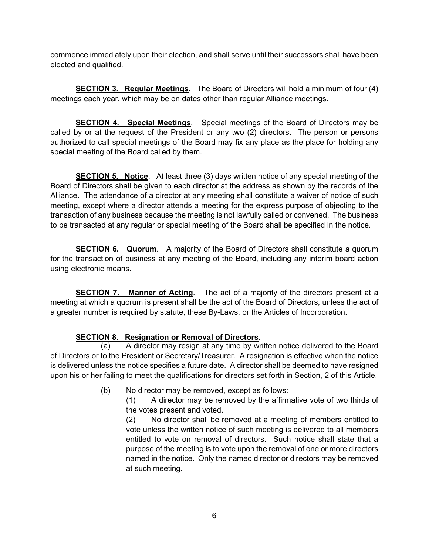commence immediately upon their election, and shall serve until their successors shall have been elected and qualified.

<span id="page-10-0"></span>**SECTION 3. Regular Meetings**. The Board of Directors will hold a minimum of four (4) meetings each year, which may be on dates other than regular Alliance meetings.

<span id="page-10-1"></span>**SECTION 4. Special Meetings**. Special meetings of the Board of Directors may be called by or at the request of the President or any two (2) directors. The person or persons authorized to call special meetings of the Board may fix any place as the place for holding any special meeting of the Board called by them.

<span id="page-10-2"></span>**SECTION 5. Notice**. At least three (3) days written notice of any special meeting of the Board of Directors shall be given to each director at the address as shown by the records of the Alliance. The attendance of a director at any meeting shall constitute a waiver of notice of such meeting, except where a director attends a meeting for the express purpose of objecting to the transaction of any business because the meeting is not lawfully called or convened. The business to be transacted at any regular or special meeting of the Board shall be specified in the notice.

<span id="page-10-3"></span>**SECTION 6. Quorum**. A majority of the Board of Directors shall constitute a quorum for the transaction of business at any meeting of the Board, including any interim board action using electronic means.

<span id="page-10-4"></span>**SECTION 7. Manner of Acting**. The act of a majority of the directors present at a meeting at which a quorum is present shall be the act of the Board of Directors, unless the act of a greater number is required by statute, these By-Laws, or the Articles of Incorporation.

## <span id="page-10-5"></span>**SECTION 8. Resignation or Removal of Directors**.

(a) A director may resign at any time by written notice delivered to the Board of Directors or to the President or Secretary/Treasurer. A resignation is effective when the notice is delivered unless the notice specifies a future date. A director shall be deemed to have resigned upon his or her failing to meet the qualifications for directors set forth in Section, 2 of this Article.

- (b) No director may be removed, except as follows:
	- (1) A director may be removed by the affirmative vote of two thirds of the votes present and voted.

(2) No director shall be removed at a meeting of members entitled to vote unless the written notice of such meeting is delivered to all members entitled to vote on removal of directors. Such notice shall state that a purpose of the meeting is to vote upon the removal of one or more directors named in the notice. Only the named director or directors may be removed at such meeting.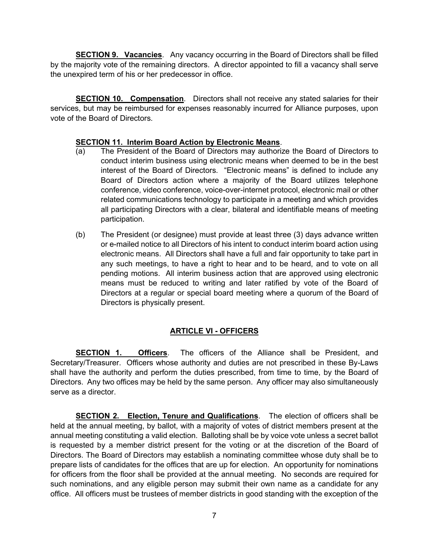<span id="page-11-0"></span>**SECTION 9. Vacancies**. Any vacancy occurring in the Board of Directors shall be filled by the majority vote of the remaining directors. A director appointed to fill a vacancy shall serve the unexpired term of his or her predecessor in office.

<span id="page-11-1"></span>**SECTION 10. Compensation**. Directors shall not receive any stated salaries for their services, but may be reimbursed for expenses reasonably incurred for Alliance purposes, upon vote of the Board of Directors.

## <span id="page-11-2"></span>**SECTION 11. Interim Board Action by Electronic Means**.

- (a) The President of the Board of Directors may authorize the Board of Directors to conduct interim business using electronic means when deemed to be in the best interest of the Board of Directors. "Electronic means" is defined to include any Board of Directors action where a majority of the Board utilizes telephone conference, video conference, voice-over-internet protocol, electronic mail or other related communications technology to participate in a meeting and which provides all participating Directors with a clear, bilateral and identifiable means of meeting participation.
- (b) The President (or designee) must provide at least three (3) days advance written or e-mailed notice to all Directors of his intent to conduct interim board action using electronic means. All Directors shall have a full and fair opportunity to take part in any such meetings, to have a right to hear and to be heard, and to vote on all pending motions. All interim business action that are approved using electronic means must be reduced to writing and later ratified by vote of the Board of Directors at a regular or special board meeting where a quorum of the Board of Directors is physically present.

## **ARTICLE VI - OFFICERS**

<span id="page-11-4"></span><span id="page-11-3"></span>**SECTION 1. Officers**. The officers of the Alliance shall be President, and Secretary/Treasurer. Officers whose authority and duties are not prescribed in these By-Laws shall have the authority and perform the duties prescribed, from time to time, by the Board of Directors. Any two offices may be held by the same person. Any officer may also simultaneously serve as a director.

<span id="page-11-5"></span>**SECTION 2. Election, Tenure and Qualifications**. The election of officers shall be held at the annual meeting, by ballot, with a majority of votes of district members present at the annual meeting constituting a valid election. Balloting shall be by voice vote unless a secret ballot is requested by a member district present for the voting or at the discretion of the Board of Directors. The Board of Directors may establish a nominating committee whose duty shall be to prepare lists of candidates for the offices that are up for election. An opportunity for nominations for officers from the floor shall be provided at the annual meeting. No seconds are required for such nominations, and any eligible person may submit their own name as a candidate for any office. All officers must be trustees of member districts in good standing with the exception of the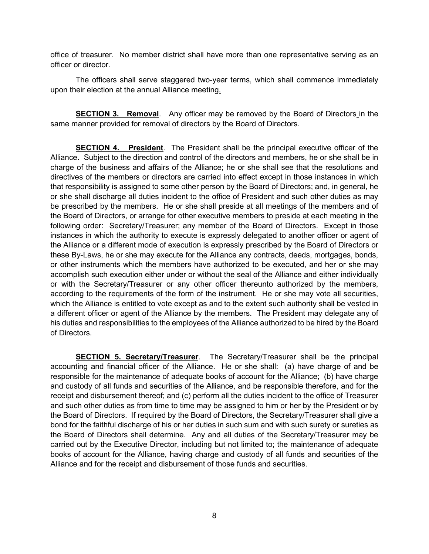office of treasurer. No member district shall have more than one representative serving as an officer or director.

The officers shall serve staggered two-year terms, which shall commence immediately upon their election at the annual Alliance meeting.

<span id="page-12-0"></span>**SECTION 3. Removal.** Any officer may be removed by the Board of Directors in the same manner provided for removal of directors by the Board of Directors.

<span id="page-12-1"></span>**SECTION 4. President**. The President shall be the principal executive officer of the Alliance. Subject to the direction and control of the directors and members, he or she shall be in charge of the business and affairs of the Alliance; he or she shall see that the resolutions and directives of the members or directors are carried into effect except in those instances in which that responsibility is assigned to some other person by the Board of Directors; and, in general, he or she shall discharge all duties incident to the office of President and such other duties as may be prescribed by the members. He or she shall preside at all meetings of the members and of the Board of Directors, or arrange for other executive members to preside at each meeting in the following order: Secretary/Treasurer; any member of the Board of Directors. Except in those instances in which the authority to execute is expressly delegated to another officer or agent of the Alliance or a different mode of execution is expressly prescribed by the Board of Directors or these By-Laws, he or she may execute for the Alliance any contracts, deeds, mortgages, bonds, or other instruments which the members have authorized to be executed, and her or she may accomplish such execution either under or without the seal of the Alliance and either individually or with the Secretary/Treasurer or any other officer thereunto authorized by the members, according to the requirements of the form of the instrument. He or she may vote all securities, which the Alliance is entitled to vote except as and to the extent such authority shall be vested in a different officer or agent of the Alliance by the members. The President may delegate any of his duties and responsibilities to the employees of the Alliance authorized to be hired by the Board of Directors.

<span id="page-12-2"></span>**SECTION 5. Secretary/Treasurer**. The Secretary/Treasurer shall be the principal accounting and financial officer of the Alliance. He or she shall: (a) have charge of and be responsible for the maintenance of adequate books of account for the Alliance; (b) have charge and custody of all funds and securities of the Alliance, and be responsible therefore, and for the receipt and disbursement thereof; and (c) perform all the duties incident to the office of Treasurer and such other duties as from time to time may be assigned to him or her by the President or by the Board of Directors. If required by the Board of Directors, the Secretary/Treasurer shall give a bond for the faithful discharge of his or her duties in such sum and with such surety or sureties as the Board of Directors shall determine. Any and all duties of the Secretary/Treasurer may be carried out by the Executive Director, including but not limited to; the maintenance of adequate books of account for the Alliance, having charge and custody of all funds and securities of the Alliance and for the receipt and disbursement of those funds and securities.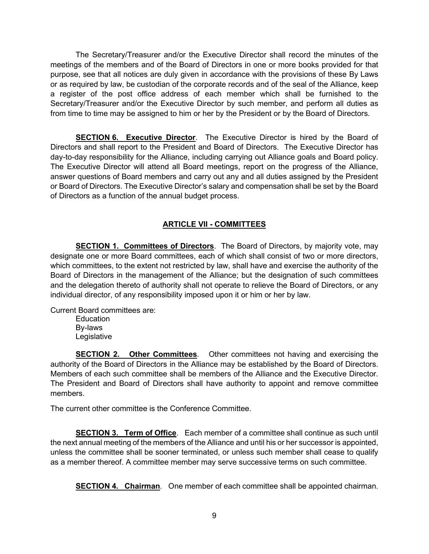The Secretary/Treasurer and/or the Executive Director shall record the minutes of the meetings of the members and of the Board of Directors in one or more books provided for that purpose, see that all notices are duly given in accordance with the provisions of these By Laws or as required by law, be custodian of the corporate records and of the seal of the Alliance, keep a register of the post office address of each member which shall be furnished to the Secretary/Treasurer and/or the Executive Director by such member, and perform all duties as from time to time may be assigned to him or her by the President or by the Board of Directors.

<span id="page-13-0"></span>**SECTION 6. Executive Director**. The Executive Director is hired by the Board of Directors and shall report to the President and Board of Directors. The Executive Director has day-to-day responsibility for the Alliance, including carrying out Alliance goals and Board policy. The Executive Director will attend all Board meetings, report on the progress of the Alliance, answer questions of Board members and carry out any and all duties assigned by the President or Board of Directors. The Executive Director's salary and compensation shall be set by the Board of Directors as a function of the annual budget process.

## **ARTICLE VII - COMMITTEES**

<span id="page-13-2"></span><span id="page-13-1"></span>**SECTION 1. Committees of Directors**. The Board of Directors, by majority vote, may designate one or more Board committees, each of which shall consist of two or more directors, which committees, to the extent not restricted by law, shall have and exercise the authority of the Board of Directors in the management of the Alliance; but the designation of such committees and the delegation thereto of authority shall not operate to relieve the Board of Directors, or any individual director, of any responsibility imposed upon it or him or her by law.

Current Board committees are:

**Education** By-laws Legislative

<span id="page-13-3"></span>**SECTION 2. Other Committees**. Other committees not having and exercising the authority of the Board of Directors in the Alliance may be established by the Board of Directors. Members of each such committee shall be members of the Alliance and the Executive Director. The President and Board of Directors shall have authority to appoint and remove committee members.

The current other committee is the Conference Committee.

<span id="page-13-4"></span>**SECTION 3. Term of Office**. Each member of a committee shall continue as such until the next annual meeting of the members of the Alliance and until his or her successor is appointed, unless the committee shall be sooner terminated, or unless such member shall cease to qualify as a member thereof. A committee member may serve successive terms on such committee.

<span id="page-13-5"></span>**SECTION 4. Chairman.** One member of each committee shall be appointed chairman.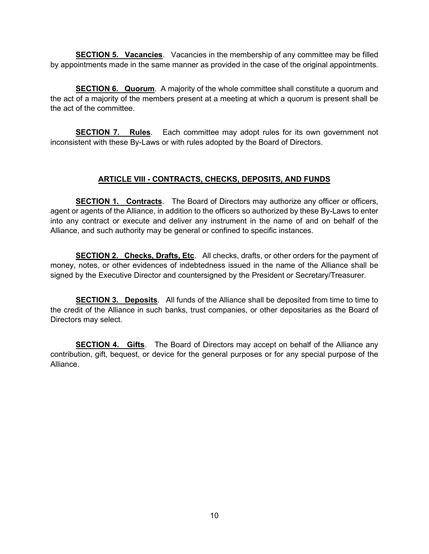<span id="page-14-0"></span>**SECTION 5. Vacancies**. Vacancies in the membership of any committee may be filled by appointments made in the same manner as provided in the case of the original appointments.

<span id="page-14-1"></span>**SECTION 6. Quorum.** A majority of the whole committee shall constitute a quorum and the act of a majority of the members present at a meeting at which a quorum is present shall be the act of the committee.

<span id="page-14-2"></span>**SECTION 7. Rules**. Each committee may adopt rules for its own government not inconsistent with these By-Laws or with rules adopted by the Board of Directors.

#### **ARTICLE VIII - CONTRACTS, CHECKS, DEPOSITS, AND FUNDS**

<span id="page-14-4"></span><span id="page-14-3"></span>**SECTION 1. Contracts**. The Board of Directors may authorize any officer or officers, agent or agents of the Alliance, in addition to the officers so authorized by these By-Laws to enter into any contract or execute and deliver any instrument in the name of and on behalf of the Alliance, and such authority may be general or confined to specific instances.

<span id="page-14-5"></span>**SECTION 2. Checks, Drafts, Etc.** All checks, drafts, or other orders for the payment of money, notes, or other evidences of indebtedness issued in the name of the Alliance shall be signed by the Executive Director and countersigned by the President or Secretary/Treasurer.

<span id="page-14-6"></span>**SECTION 3. Deposits**. All funds of the Alliance shall be deposited from time to time to the credit of the Alliance in such banks, trust companies, or other depositaries as the Board of Directors may select.

<span id="page-14-7"></span>**SECTION 4. Gifts**. The Board of Directors may accept on behalf of the Alliance any contribution, gift, bequest, or device for the general purposes or for any special purpose of the Alliance.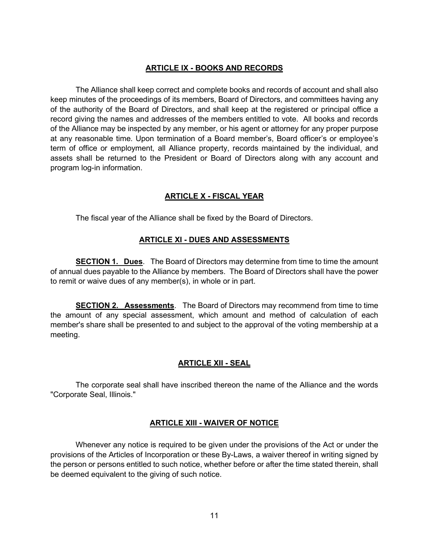#### **ARTICLE IX - BOOKS AND RECORDS**

<span id="page-15-0"></span>The Alliance shall keep correct and complete books and records of account and shall also keep minutes of the proceedings of its members, Board of Directors, and committees having any of the authority of the Board of Directors, and shall keep at the registered or principal office a record giving the names and addresses of the members entitled to vote. All books and records of the Alliance may be inspected by any member, or his agent or attorney for any proper purpose at any reasonable time. Upon termination of a Board member's, Board officer's or employee's term of office or employment, all Alliance property, records maintained by the individual, and assets shall be returned to the President or Board of Directors along with any account and program log-in information.

#### **ARTICLE X - FISCAL YEAR**

<span id="page-15-1"></span>The fiscal year of the Alliance shall be fixed by the Board of Directors.

#### **ARTICLE XI - DUES AND ASSESSMENTS**

<span id="page-15-3"></span><span id="page-15-2"></span>**SECTION 1. Dues**. The Board of Directors may determine from time to time the amount of annual dues payable to the Alliance by members. The Board of Directors shall have the power to remit or waive dues of any member(s), in whole or in part.

<span id="page-15-4"></span>**SECTION 2. Assessments**. The Board of Directors may recommend from time to time the amount of any special assessment, which amount and method of calculation of each member's share shall be presented to and subject to the approval of the voting membership at a meeting.

#### **ARTICLE XII - SEAL**

<span id="page-15-5"></span>The corporate seal shall have inscribed thereon the name of the Alliance and the words "Corporate Seal, Illinois."

#### **ARTICLE XIII - WAIVER OF NOTICE**

<span id="page-15-6"></span>Whenever any notice is required to be given under the provisions of the Act or under the provisions of the Articles of Incorporation or these By-Laws, a waiver thereof in writing signed by the person or persons entitled to such notice, whether before or after the time stated therein, shall be deemed equivalent to the giving of such notice.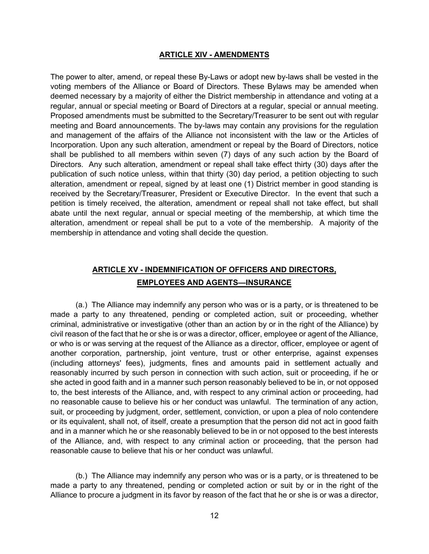#### **ARTICLE XIV - AMENDMENTS**

<span id="page-16-0"></span>The power to alter, amend, or repeal these By-Laws or adopt new by-laws shall be vested in the voting members of the Alliance or Board of Directors. These Bylaws may be amended when deemed necessary by a majority of either the District membership in attendance and voting at a regular, annual or special meeting or Board of Directors at a regular, special or annual meeting. Proposed amendments must be submitted to the Secretary/Treasurer to be sent out with regular meeting and Board announcements. The by-laws may contain any provisions for the regulation and management of the affairs of the Alliance not inconsistent with the law or the Articles of Incorporation. Upon any such alteration, amendment or repeal by the Board of Directors, notice shall be published to all members within seven (7) days of any such action by the Board of Directors. Any such alteration, amendment or repeal shall take effect thirty (30) days after the publication of such notice unless, within that thirty (30) day period, a petition objecting to such alteration, amendment or repeal, signed by at least one (1) District member in good standing is received by the Secretary/Treasurer, President or Executive Director. In the event that such a petition is timely received, the alteration, amendment or repeal shall not take effect, but shall abate until the next regular, annual or special meeting of the membership, at which time the alteration, amendment or repeal shall be put to a vote of the membership. A majority of the membership in attendance and voting shall decide the question.

# **ARTICLE XV - INDEMNIFICATION OF OFFICERS AND DIRECTORS, EMPLOYEES AND AGENTS—INSURANCE**

<span id="page-16-2"></span><span id="page-16-1"></span>(a.) The Alliance may indemnify any person who was or is a party, or is threatened to be made a party to any threatened, pending or completed action, suit or proceeding, whether criminal, administrative or investigative (other than an action by or in the right of the Alliance) by civil reason of the fact that he or she is or was a director, officer, employee or agent of the Alliance, or who is or was serving at the request of the Alliance as a director, officer, employee or agent of another corporation, partnership, joint venture, trust or other enterprise, against expenses (including attorneys' fees), judgments, fines and amounts paid in settlement actually and reasonably incurred by such person in connection with such action, suit or proceeding, if he or she acted in good faith and in a manner such person reasonably believed to be in, or not opposed to, the best interests of the Alliance, and, with respect to any criminal action or proceeding, had no reasonable cause to believe his or her conduct was unlawful. The termination of any action, suit, or proceeding by judgment, order, settlement, conviction, or upon a plea of nolo contendere or its equivalent, shall not, of itself, create a presumption that the person did not act in good faith and in a manner which he or she reasonably believed to be in or not opposed to the best interests of the Alliance, and, with respect to any criminal action or proceeding, that the person had reasonable cause to believe that his or her conduct was unlawful.

(b.) The Alliance may indemnify any person who was or is a party, or is threatened to be made a party to any threatened, pending or completed action or suit by or in the right of the Alliance to procure a judgment in its favor by reason of the fact that he or she is or was a director,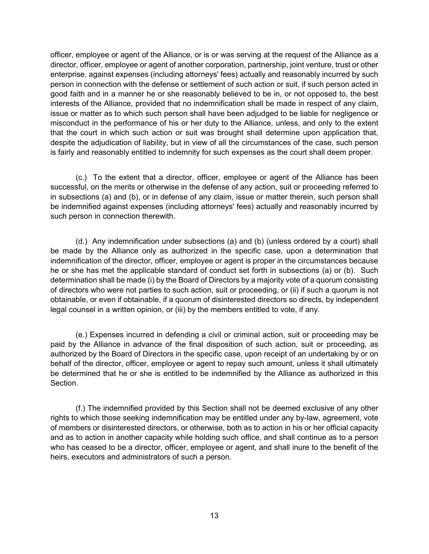officer, employee or agent of the Alliance, or is or was serving at the request of the Alliance as a director, officer, employee or agent of another corporation, partnership, joint venture, trust or other enterprise, against expenses (including attorneys' fees) actually and reasonably incurred by such person in connection with the defense or settlement of such action or suit, if such person acted in good faith and in a manner he or she reasonably believed to be in, or not opposed to, the best interests of the Alliance, provided that no indemnification shall be made in respect of any claim, issue or matter as to which such person shall have been adjudged to be liable for negligence or misconduct in the performance of his or her duty to the Alliance, unless, and only to the extent that the court in which such action or suit was brought shall determine upon application that, despite the adjudication of liability, but in view of all the circumstances of the case, such person is fairly and reasonably entitled to indemnity for such expenses as the court shall deem proper.

(c.) To the extent that a director, officer, employee or agent of the Alliance has been successful, on the merits or otherwise in the defense of any action, suit or proceeding referred to in subsections (a) and (b), or in defense of any claim, issue or matter therein, such person shall be indemnified against expenses (including attorneys' fees) actually and reasonably incurred by such person in connection therewith.

(d.) Any indemnification under subsections (a) and (b) (unless ordered by a court) shall be made by the Alliance only as authorized in the specific case, upon a determination that indemnification of the director, officer, employee or agent is proper in the circumstances because he or she has met the applicable standard of conduct set forth in subsections (a) or (b). Such determination shall be made (i) by the Board of Directors by a majority vote of a quorum consisting of directors who were not parties to such action, suit or proceeding, or (ii) if such a quorum is not obtainable, or even if obtainable, if a quorum of disinterested directors so directs, by independent legal counsel in a written opinion, or (iii) by the members entitled to vote, if any.

(e.) Expenses incurred in defending a civil or criminal action, suit or proceeding may be paid by the Alliance in advance of the final disposition of such action, suit or proceeding, as authorized by the Board of Directors in the specific case, upon receipt of an undertaking by or on behalf of the director, officer, employee or agent to repay such amount, unless it shall ultimately be determined that he or she is entitled to be indemnified by the Alliance as authorized in this Section.

(f.) The indemnified provided by this Section shall not be deemed exclusive of any other rights to which those seeking indemnification may be entitled under any by-law, agreement, vote of members or disinterested directors, or otherwise, both as to action in his or her official capacity and as to action in another capacity while holding such office, and shall continue as to a person who has ceased to be a director, officer, employee or agent, and shall inure to the benefit of the heirs, executors and administrators of such a person.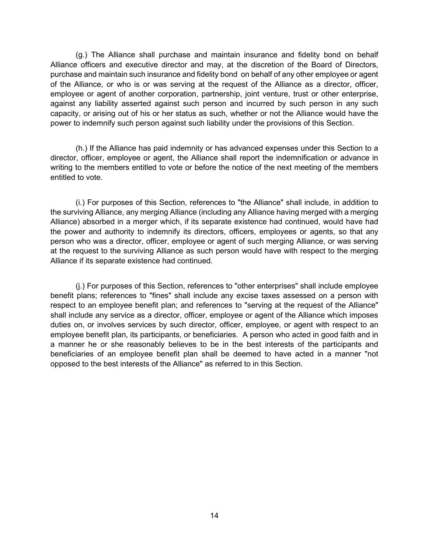(g.) The Alliance shall purchase and maintain insurance and fidelity bond on behalf Alliance officers and executive director and may, at the discretion of the Board of Directors, purchase and maintain such insurance and fidelity bond on behalf of any other employee or agent of the Alliance, or who is or was serving at the request of the Alliance as a director, officer, employee or agent of another corporation, partnership, joint venture, trust or other enterprise, against any liability asserted against such person and incurred by such person in any such capacity, or arising out of his or her status as such, whether or not the Alliance would have the power to indemnify such person against such liability under the provisions of this Section.

(h.) If the Alliance has paid indemnity or has advanced expenses under this Section to a director, officer, employee or agent, the Alliance shall report the indemnification or advance in writing to the members entitled to vote or before the notice of the next meeting of the members entitled to vote.

(i.) For purposes of this Section, references to "the Alliance" shall include, in addition to the surviving Alliance, any merging Alliance (including any Alliance having merged with a merging Alliance) absorbed in a merger which, if its separate existence had continued, would have had the power and authority to indemnify its directors, officers, employees or agents, so that any person who was a director, officer, employee or agent of such merging Alliance, or was serving at the request to the surviving Alliance as such person would have with respect to the merging Alliance if its separate existence had continued.

(j.) For purposes of this Section, references to "other enterprises" shall include employee benefit plans; references to "fines" shall include any excise taxes assessed on a person with respect to an employee benefit plan; and references to "serving at the request of the Alliance" shall include any service as a director, officer, employee or agent of the Alliance which imposes duties on, or involves services by such director, officer, employee, or agent with respect to an employee benefit plan, its participants, or beneficiaries. A person who acted in good faith and in a manner he or she reasonably believes to be in the best interests of the participants and beneficiaries of an employee benefit plan shall be deemed to have acted in a manner "not opposed to the best interests of the Alliance" as referred to in this Section.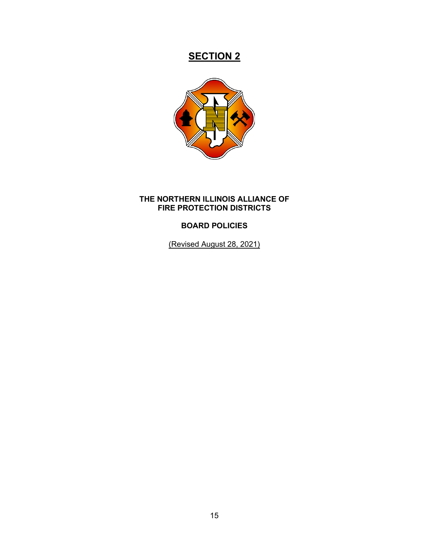# **SECTION 2**

<span id="page-19-0"></span>

## <span id="page-19-1"></span>**THE NORTHERN ILLINOIS ALLIANCE OF FIRE PROTECTION DISTRICTS**

# **BOARD POLICIES**

(Revised August 28, 2021)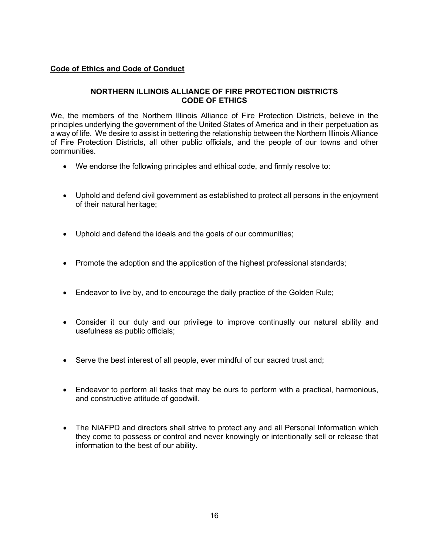## <span id="page-20-0"></span>**Code of Ethics and Code of Conduct**

#### **NORTHERN ILLINOIS ALLIANCE OF FIRE PROTECTION DISTRICTS CODE OF ETHICS**

We, the members of the Northern Illinois Alliance of Fire Protection Districts, believe in the principles underlying the government of the United States of America and in their perpetuation as a way of life. We desire to assist in bettering the relationship between the Northern Illinois Alliance of Fire Protection Districts, all other public officials, and the people of our towns and other communities.

- We endorse the following principles and ethical code, and firmly resolve to:
- Uphold and defend civil government as established to protect all persons in the enjoyment of their natural heritage;
- Uphold and defend the ideals and the goals of our communities;
- Promote the adoption and the application of the highest professional standards;
- Endeavor to live by, and to encourage the daily practice of the Golden Rule;
- Consider it our duty and our privilege to improve continually our natural ability and usefulness as public officials;
- Serve the best interest of all people, ever mindful of our sacred trust and;
- Endeavor to perform all tasks that may be ours to perform with a practical, harmonious, and constructive attitude of goodwill.
- The NIAFPD and directors shall strive to protect any and all Personal Information which they come to possess or control and never knowingly or intentionally sell or release that information to the best of our ability.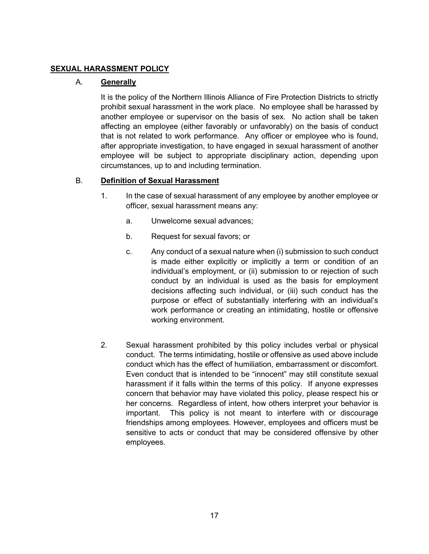#### <span id="page-21-0"></span>**SEXUAL HARASSMENT POLICY**

#### A. **Generally**

It is the policy of the Northern Illinois Alliance of Fire Protection Districts to strictly prohibit sexual harassment in the work place. No employee shall be harassed by another employee or supervisor on the basis of sex. No action shall be taken affecting an employee (either favorably or unfavorably) on the basis of conduct that is not related to work performance. Any officer or employee who is found, after appropriate investigation, to have engaged in sexual harassment of another employee will be subject to appropriate disciplinary action, depending upon circumstances, up to and including termination.

## B. **Definition of Sexual Harassment**

- 1. In the case of sexual harassment of any employee by another employee or officer, sexual harassment means any:
	- a. Unwelcome sexual advances;
	- b. Request for sexual favors; or
	- c. Any conduct of a sexual nature when (i) submission to such conduct is made either explicitly or implicitly a term or condition of an individual's employment, or (ii) submission to or rejection of such conduct by an individual is used as the basis for employment decisions affecting such individual, or (iii) such conduct has the purpose or effect of substantially interfering with an individual's work performance or creating an intimidating, hostile or offensive working environment.
- 2. Sexual harassment prohibited by this policy includes verbal or physical conduct. The terms intimidating, hostile or offensive as used above include conduct which has the effect of humiliation, embarrassment or discomfort. Even conduct that is intended to be "innocent" may still constitute sexual harassment if it falls within the terms of this policy. If anyone expresses concern that behavior may have violated this policy, please respect his or her concerns. Regardless of intent, how others interpret your behavior is important. This policy is not meant to interfere with or discourage friendships among employees. However, employees and officers must be sensitive to acts or conduct that may be considered offensive by other employees.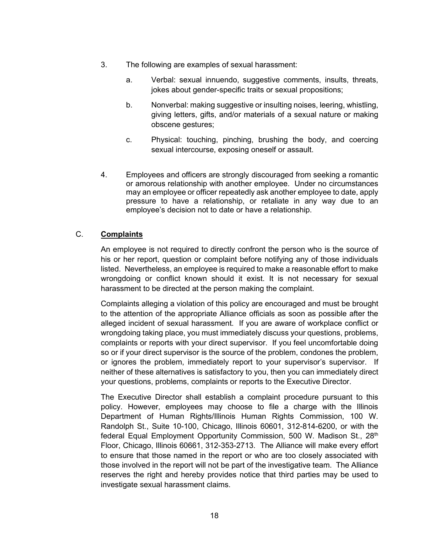- 3. The following are examples of sexual harassment:
	- a. Verbal: sexual innuendo, suggestive comments, insults, threats, jokes about gender-specific traits or sexual propositions;
	- b. Nonverbal: making suggestive or insulting noises, leering, whistling, giving letters, gifts, and/or materials of a sexual nature or making obscene gestures;
	- c. Physical: touching, pinching, brushing the body, and coercing sexual intercourse, exposing oneself or assault.
- 4. Employees and officers are strongly discouraged from seeking a romantic or amorous relationship with another employee. Under no circumstances may an employee or officer repeatedly ask another employee to date, apply pressure to have a relationship, or retaliate in any way due to an employee's decision not to date or have a relationship.

#### C. **Complaints**

An employee is not required to directly confront the person who is the source of his or her report, question or complaint before notifying any of those individuals listed. Nevertheless, an employee is required to make a reasonable effort to make wrongdoing or conflict known should it exist. It is not necessary for sexual harassment to be directed at the person making the complaint.

Complaints alleging a violation of this policy are encouraged and must be brought to the attention of the appropriate Alliance officials as soon as possible after the alleged incident of sexual harassment. If you are aware of workplace conflict or wrongdoing taking place, you must immediately discuss your questions, problems, complaints or reports with your direct supervisor. If you feel uncomfortable doing so or if your direct supervisor is the source of the problem, condones the problem, or ignores the problem, immediately report to your supervisor's supervisor. If neither of these alternatives is satisfactory to you, then you can immediately direct your questions, problems, complaints or reports to the Executive Director.

The Executive Director shall establish a complaint procedure pursuant to this policy. However, employees may choose to file a charge with the Illinois Department of Human Rights/Illinois Human Rights Commission, 100 W. Randolph St., Suite 10-100, Chicago, Illinois 60601, 312-814-6200, or with the federal Equal Employment Opportunity Commission, 500 W. Madison St., 28<sup>th</sup> Floor, Chicago, Illinois 60661, 312-353-2713. The Alliance will make every effort to ensure that those named in the report or who are too closely associated with those involved in the report will not be part of the investigative team. The Alliance reserves the right and hereby provides notice that third parties may be used to investigate sexual harassment claims.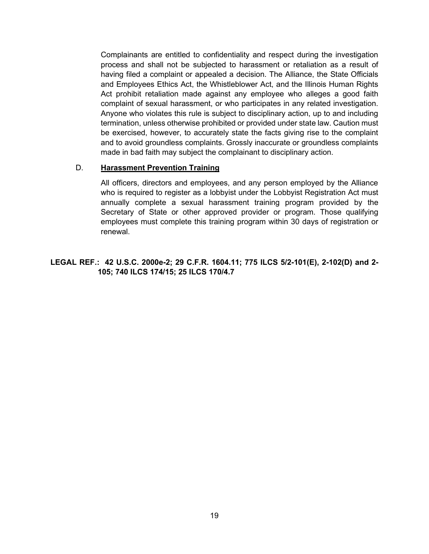Complainants are entitled to confidentiality and respect during the investigation process and shall not be subjected to harassment or retaliation as a result of having filed a complaint or appealed a decision. The Alliance, the State Officials and Employees Ethics Act, the Whistleblower Act, and the Illinois Human Rights Act prohibit retaliation made against any employee who alleges a good faith complaint of sexual harassment, or who participates in any related investigation. Anyone who violates this rule is subject to disciplinary action, up to and including termination, unless otherwise prohibited or provided under state law. Caution must be exercised, however, to accurately state the facts giving rise to the complaint and to avoid groundless complaints. Grossly inaccurate or groundless complaints made in bad faith may subject the complainant to disciplinary action.

#### D. **Harassment Prevention Training**

All officers, directors and employees, and any person employed by the Alliance who is required to register as a lobbyist under the Lobbyist Registration Act must annually complete a sexual harassment training program provided by the Secretary of State or other approved provider or program. Those qualifying employees must complete this training program within 30 days of registration or renewal.

#### **LEGAL REF.: 42 U.S.C. 2000e-2; 29 C.F.R. 1604.11; 775 ILCS 5/2-101(E), 2-102(D) and 2- 105; 740 ILCS 174/15; 25 ILCS 170/4.7**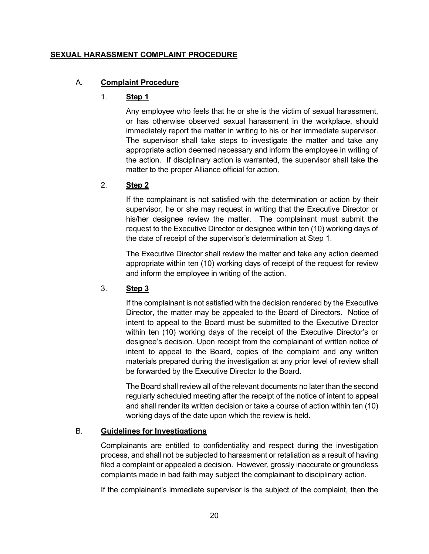#### <span id="page-24-0"></span>**SEXUAL HARASSMENT COMPLAINT PROCEDURE**

#### A. **Complaint Procedure**

#### 1. **Step 1**

Any employee who feels that he or she is the victim of sexual harassment, or has otherwise observed sexual harassment in the workplace, should immediately report the matter in writing to his or her immediate supervisor. The supervisor shall take steps to investigate the matter and take any appropriate action deemed necessary and inform the employee in writing of the action. If disciplinary action is warranted, the supervisor shall take the matter to the proper Alliance official for action.

## 2. **Step 2**

If the complainant is not satisfied with the determination or action by their supervisor, he or she may request in writing that the Executive Director or his/her designee review the matter. The complainant must submit the request to the Executive Director or designee within ten (10) working days of the date of receipt of the supervisor's determination at Step 1.

The Executive Director shall review the matter and take any action deemed appropriate within ten (10) working days of receipt of the request for review and inform the employee in writing of the action.

#### 3. **Step 3**

If the complainant is not satisfied with the decision rendered by the Executive Director, the matter may be appealed to the Board of Directors. Notice of intent to appeal to the Board must be submitted to the Executive Director within ten (10) working days of the receipt of the Executive Director's or designee's decision. Upon receipt from the complainant of written notice of intent to appeal to the Board, copies of the complaint and any written materials prepared during the investigation at any prior level of review shall be forwarded by the Executive Director to the Board.

The Board shall review all of the relevant documents no later than the second regularly scheduled meeting after the receipt of the notice of intent to appeal and shall render its written decision or take a course of action within ten (10) working days of the date upon which the review is held.

## B. **Guidelines for Investigations**

Complainants are entitled to confidentiality and respect during the investigation process, and shall not be subjected to harassment or retaliation as a result of having filed a complaint or appealed a decision. However, grossly inaccurate or groundless complaints made in bad faith may subject the complainant to disciplinary action.

If the complainant's immediate supervisor is the subject of the complaint, then the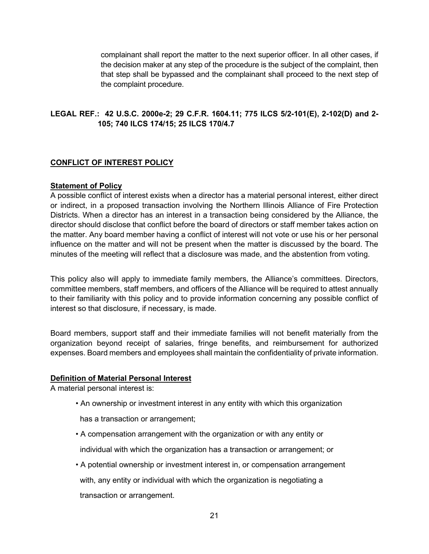complainant shall report the matter to the next superior officer. In all other cases, if the decision maker at any step of the procedure is the subject of the complaint, then that step shall be bypassed and the complainant shall proceed to the next step of the complaint procedure.

#### **LEGAL REF.: 42 U.S.C. 2000e-2; 29 C.F.R. 1604.11; 775 ILCS 5/2-101(E), 2-102(D) and 2- 105; 740 ILCS 174/15; 25 ILCS 170/4.7**

#### <span id="page-25-0"></span>**CONFLICT OF INTEREST POLICY**

#### <span id="page-25-1"></span>**Statement of Policy**

A possible conflict of interest exists when a director has a material personal interest, either direct or indirect, in a proposed transaction involving the Northern Illinois Alliance of Fire Protection Districts. When a director has an interest in a transaction being considered by the Alliance, the director should disclose that conflict before the board of directors or staff member takes action on the matter. Any board member having a conflict of interest will not vote or use his or her personal influence on the matter and will not be present when the matter is discussed by the board. The minutes of the meeting will reflect that a disclosure was made, and the abstention from voting.

This policy also will apply to immediate family members, the Alliance's committees. Directors, committee members, staff members, and officers of the Alliance will be required to attest annually to their familiarity with this policy and to provide information concerning any possible conflict of interest so that disclosure, if necessary, is made.

Board members, support staff and their immediate families will not benefit materially from the organization beyond receipt of salaries, fringe benefits, and reimbursement for authorized expenses. Board members and employees shall maintain the confidentiality of private information.

#### <span id="page-25-2"></span>**Definition of Material Personal Interest**

A material personal interest is:

• An ownership or investment interest in any entity with which this organization

has a transaction or arrangement;

- A compensation arrangement with the organization or with any entity or individual with which the organization has a transaction or arrangement; or
- A potential ownership or investment interest in, or compensation arrangement with, any entity or individual with which the organization is negotiating a transaction or arrangement.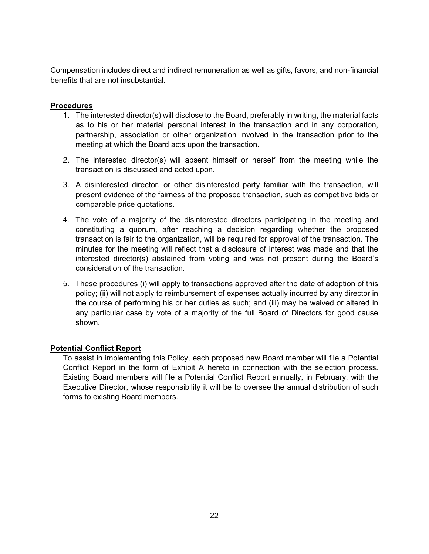Compensation includes direct and indirect remuneration as well as gifts, favors, and non-financial benefits that are not insubstantial.

#### <span id="page-26-0"></span>**Procedures**

- 1. The interested director(s) will disclose to the Board, preferably in writing, the material facts as to his or her material personal interest in the transaction and in any corporation, partnership, association or other organization involved in the transaction prior to the meeting at which the Board acts upon the transaction.
- 2. The interested director(s) will absent himself or herself from the meeting while the transaction is discussed and acted upon.
- 3. A disinterested director, or other disinterested party familiar with the transaction, will present evidence of the fairness of the proposed transaction, such as competitive bids or comparable price quotations.
- 4. The vote of a majority of the disinterested directors participating in the meeting and constituting a quorum, after reaching a decision regarding whether the proposed transaction is fair to the organization, will be required for approval of the transaction. The minutes for the meeting will reflect that a disclosure of interest was made and that the interested director(s) abstained from voting and was not present during the Board's consideration of the transaction.
- 5. These procedures (i) will apply to transactions approved after the date of adoption of this policy; (ii) will not apply to reimbursement of expenses actually incurred by any director in the course of performing his or her duties as such; and (iii) may be waived or altered in any particular case by vote of a majority of the full Board of Directors for good cause shown.

#### <span id="page-26-1"></span>**Potential Conflict Report**

To assist in implementing this Policy, each proposed new Board member will file a Potential Conflict Report in the form of Exhibit A hereto in connection with the selection process. Existing Board members will file a Potential Conflict Report annually, in February, with the Executive Director, whose responsibility it will be to oversee the annual distribution of such forms to existing Board members.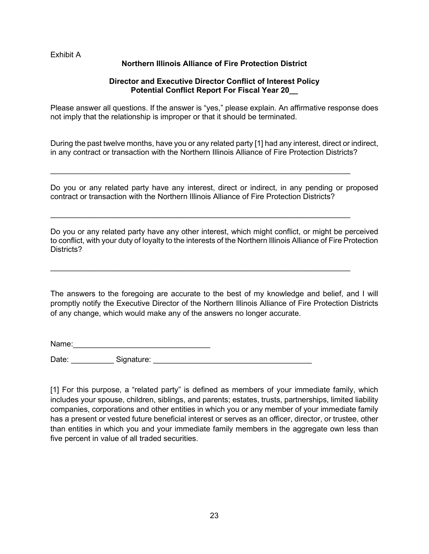#### Exhibit A

#### **Northern Illinois Alliance of Fire Protection District**

#### **Director and Executive Director Conflict of Interest Policy Potential Conflict Report For Fiscal Year 20\_\_**

Please answer all questions. If the answer is "yes," please explain. An affirmative response does not imply that the relationship is improper or that it should be terminated.

During the past twelve months, have you or any related party [1] had any interest, direct or indirect, in any contract or transaction with the Northern Illinois Alliance of Fire Protection Districts?

Do you or any related party have any interest, direct or indirect, in any pending or proposed contract or transaction with the Northern Illinois Alliance of Fire Protection Districts?

 $\mathcal{L}_\text{max}$  , and the contribution of the contribution of the contribution of the contribution of the contribution of the contribution of the contribution of the contribution of the contribution of the contribution of t

 $\_$  , and the contribution of the contribution of  $\mathcal{L}_\mathcal{A}$  , and the contribution of  $\mathcal{L}_\mathcal{A}$  , and the contribution of  $\mathcal{L}_\mathcal{A}$ 

 $\mathcal{L}_\text{max}$  , and the contribution of the contribution of the contribution of the contribution of the contribution of the contribution of the contribution of the contribution of the contribution of the contribution of t

Do you or any related party have any other interest, which might conflict, or might be perceived to conflict, with your duty of loyalty to the interests of the Northern Illinois Alliance of Fire Protection Districts?

The answers to the foregoing are accurate to the best of my knowledge and belief, and I will promptly notify the Executive Director of the Northern Illinois Alliance of Fire Protection Districts of any change, which would make any of the answers no longer accurate.

Name:\_\_\_\_\_\_\_\_\_\_\_\_\_\_\_\_\_\_\_\_\_\_\_\_\_\_\_\_\_\_\_\_

Date: \_\_\_\_\_\_\_\_\_\_ Signature: \_\_\_\_\_\_\_\_\_\_\_\_\_\_\_\_\_\_\_\_\_\_\_\_\_\_\_\_\_\_\_\_\_\_\_\_\_

[1] For this purpose, a "related party" is defined as members of your immediate family, which includes your spouse, children, siblings, and parents; estates, trusts, partnerships, limited liability companies, corporations and other entities in which you or any member of your immediate family has a present or vested future beneficial interest or serves as an officer, director, or trustee, other than entities in which you and your immediate family members in the aggregate own less than five percent in value of all traded securities.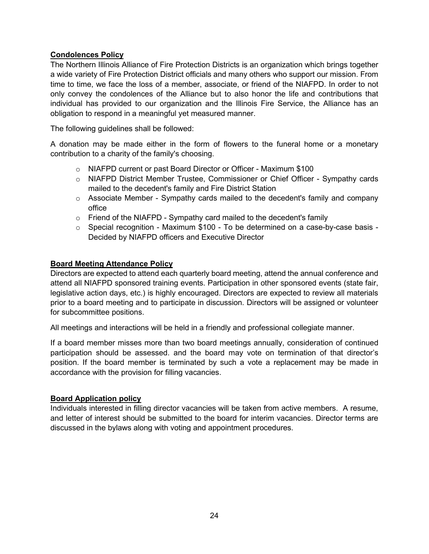#### <span id="page-28-0"></span>**Condolences Policy**

The Northern Illinois Alliance of Fire Protection Districts is an organization which brings together a wide variety of Fire Protection District officials and many others who support our mission. From time to time, we face the loss of a member, associate, or friend of the NIAFPD. In order to not only convey the condolences of the Alliance but to also honor the life and contributions that individual has provided to our organization and the Illinois Fire Service, the Alliance has an obligation to respond in a meaningful yet measured manner.

The following guidelines shall be followed:

A donation may be made either in the form of flowers to the funeral home or a monetary contribution to a charity of the family's choosing.

- o NIAFPD current or past Board Director or Officer Maximum \$100
- o NIAFPD District Member Trustee, Commissioner or Chief Officer Sympathy cards mailed to the decedent's family and Fire District Station
- $\circ$  Associate Member Sympathy cards mailed to the decedent's family and company office
- $\circ$  Friend of the NIAFPD Sympathy card mailed to the decedent's family
- o Special recognition Maximum \$100 To be determined on a case-by-case basis Decided by NIAFPD officers and Executive Director

#### <span id="page-28-1"></span>**Board Meeting Attendance Policy**

Directors are expected to attend each quarterly board meeting, attend the annual conference and attend all NIAFPD sponsored training events. Participation in other sponsored events (state fair, legislative action days, etc.) is highly encouraged. Directors are expected to review all materials prior to a board meeting and to participate in discussion. Directors will be assigned or volunteer for subcommittee positions.

All meetings and interactions will be held in a friendly and professional collegiate manner.

If a board member misses more than two board meetings annually, consideration of continued participation should be assessed. and the board may vote on termination of that director's position. If the board member is terminated by such a vote a replacement may be made in accordance with the provision for filling vacancies.

#### <span id="page-28-2"></span>**Board Application policy**

Individuals interested in filling director vacancies will be taken from active members. A resume, and letter of interest should be submitted to the board for interim vacancies. Director terms are discussed in the bylaws along with voting and appointment procedures.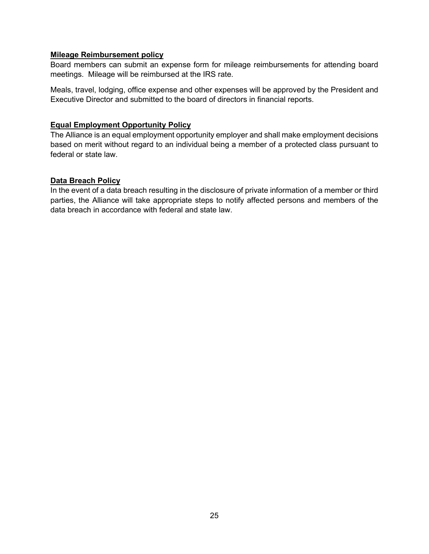#### <span id="page-29-0"></span>**Mileage Reimbursement policy**

Board members can submit an expense form for mileage reimbursements for attending board meetings. Mileage will be reimbursed at the IRS rate.

Meals, travel, lodging, office expense and other expenses will be approved by the President and Executive Director and submitted to the board of directors in financial reports.

#### <span id="page-29-1"></span>**Equal Employment Opportunity Policy**

The Alliance is an equal employment opportunity employer and shall make employment decisions based on merit without regard to an individual being a member of a protected class pursuant to federal or state law.

#### <span id="page-29-2"></span>**Data Breach Policy**

In the event of a data breach resulting in the disclosure of private information of a member or third parties, the Alliance will take appropriate steps to notify affected persons and members of the data breach in accordance with federal and state law.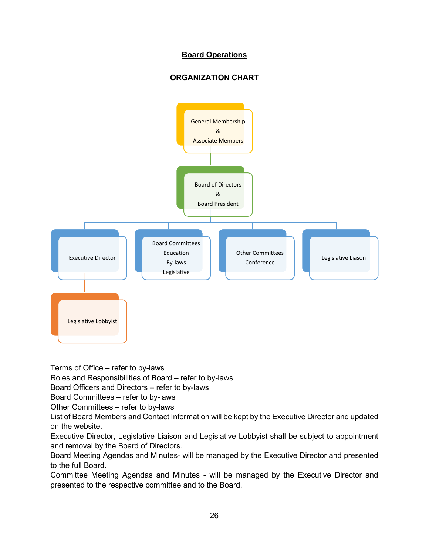## **Board Operations**

## **ORGANIZATION CHART**

<span id="page-30-0"></span>

Terms of Office – refer to by-laws

Roles and Responsibilities of Board – refer to by-laws

Board Officers and Directors – refer to by-laws

Board Committees – refer to by-laws

Other Committees – refer to by-laws

List of Board Members and Contact Information will be kept by the Executive Director and updated on the website.

Executive Director, Legislative Liaison and Legislative Lobbyist shall be subject to appointment and removal by the Board of Directors.

Board Meeting Agendas and Minutes- will be managed by the Executive Director and presented to the full Board.

Committee Meeting Agendas and Minutes - will be managed by the Executive Director and presented to the respective committee and to the Board.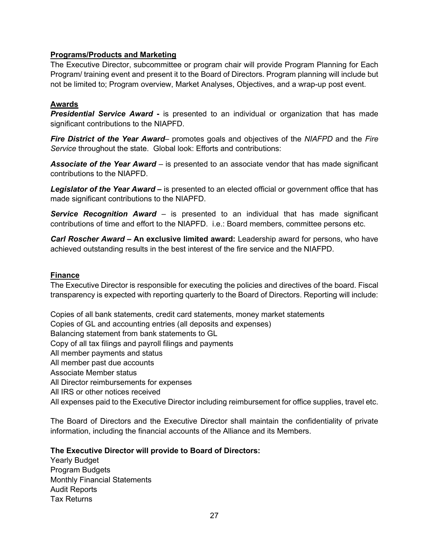#### <span id="page-31-0"></span>**Programs/Products and Marketing**

The Executive Director, subcommittee or program chair will provide Program Planning for Each Program/ training event and present it to the Board of Directors. Program planning will include but not be limited to; Program overview, Market Analyses, Objectives, and a wrap-up post event.

#### <span id="page-31-1"></span>**Awards**

**Presidential Service Award -** is presented to an individual or organization that has made significant contributions to the NIAPFD.

*Fire District of the Year Award*– promotes goals and objectives of the *NIAFPD* and the *Fire Service* throughout the state. Global look: Efforts and contributions:

*Associate of the Year Award* – is presented to an associate vendor that has made significant contributions to the NIAPFD.

*Legislator of the Year Award* **–** is presented to an elected official or government office that has made significant contributions to the NIAPFD.

*Service Recognition Award* – is presented to an individual that has made significant contributions of time and effort to the NIAPFD. i.e.: Board members, committee persons etc.

*Carl Roscher Award* **– An exclusive limited award:** Leadership award for persons, who have achieved outstanding results in the best interest of the fire service and the NIAFPD.

#### <span id="page-31-2"></span>**Finance**

The Executive Director is responsible for executing the policies and directives of the board. Fiscal transparency is expected with reporting quarterly to the Board of Directors. Reporting will include:

Copies of all bank statements, credit card statements, money market statements Copies of GL and accounting entries (all deposits and expenses) Balancing statement from bank statements to GL Copy of all tax filings and payroll filings and payments All member payments and status All member past due accounts Associate Member status All Director reimbursements for expenses All IRS or other notices received All expenses paid to the Executive Director including reimbursement for office supplies, travel etc.

The Board of Directors and the Executive Director shall maintain the confidentiality of private information, including the financial accounts of the Alliance and its Members.

#### **The Executive Director will provide to Board of Directors:**

Yearly Budget Program Budgets Monthly Financial Statements Audit Reports Tax Returns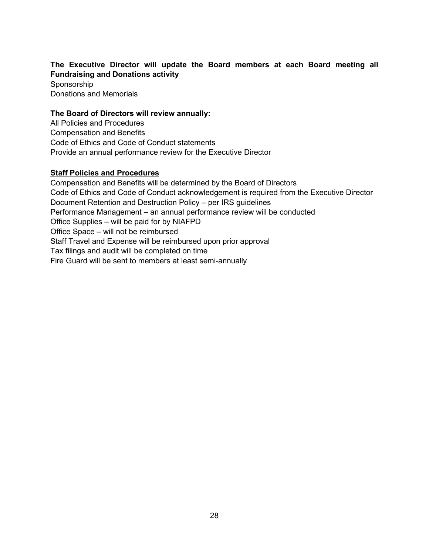## **The Executive Director will update the Board members at each Board meeting all Fundraising and Donations activity**

Sponsorship Donations and Memorials

#### **The Board of Directors will review annually:**

All Policies and Procedures Compensation and Benefits Code of Ethics and Code of Conduct statements Provide an annual performance review for the Executive Director

#### <span id="page-32-0"></span>**Staff Policies and Procedures**

Compensation and Benefits will be determined by the Board of Directors Code of Ethics and Code of Conduct acknowledgement is required from the Executive Director Document Retention and Destruction Policy – per IRS guidelines Performance Management – an annual performance review will be conducted Office Supplies – will be paid for by NIAFPD Office Space – will not be reimbursed Staff Travel and Expense will be reimbursed upon prior approval Tax filings and audit will be completed on time Fire Guard will be sent to members at least semi-annually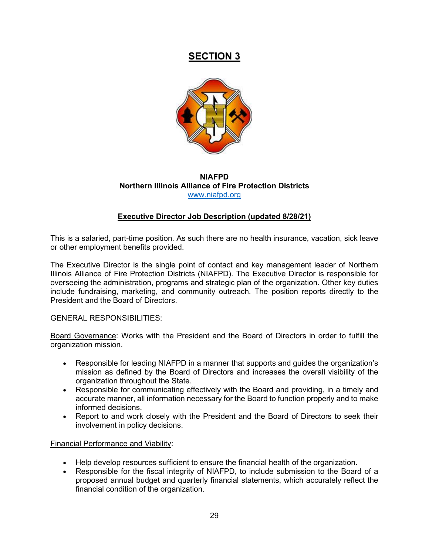# **SECTION 3**

<span id="page-33-0"></span>

#### **NIAFPD Northern Illinois Alliance of Fire Protection Districts** www[.niafpd.org](mailto:HR@niafpd.org)

## **Executive Director Job Description (updated 8/28/21)**

<span id="page-33-1"></span>This is a salaried, part-time position. As such there are no health insurance, vacation, sick leave or other employment benefits provided.

The Executive Director is the single point of contact and key management leader of Northern Illinois Alliance of Fire Protection Districts (NIAFPD). The Executive Director is responsible for overseeing the administration, programs and strategic plan of the organization. Other key duties include fundraising, marketing, and community outreach. The position reports directly to the President and the Board of Directors.

#### GENERAL RESPONSIBILITIES:

Board Governance: Works with the President and the Board of Directors in order to fulfill the organization mission.

- Responsible for leading NIAFPD in a manner that supports and quides the organization's mission as defined by the Board of Directors and increases the overall visibility of the organization throughout the State.
- Responsible for communicating effectively with the Board and providing, in a timely and accurate manner, all information necessary for the Board to function properly and to make informed decisions.
- Report to and work closely with the President and the Board of Directors to seek their involvement in policy decisions.

#### Financial Performance and Viability:

- Help develop resources sufficient to ensure the financial health of the organization.
- Responsible for the fiscal integrity of NIAFPD, to include submission to the Board of a proposed annual budget and quarterly financial statements, which accurately reflect the financial condition of the organization.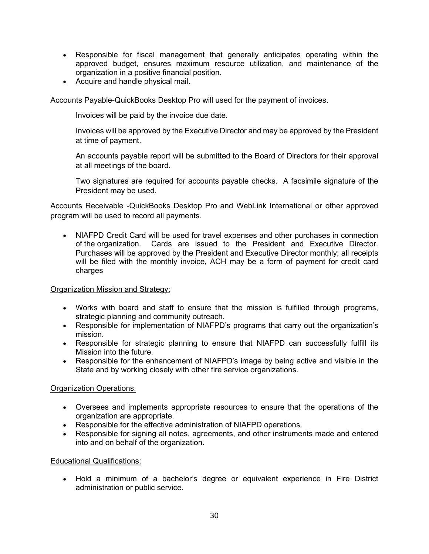- Responsible for fiscal management that generally anticipates operating within the approved budget, ensures maximum resource utilization, and maintenance of the organization in a positive financial position.
- Acquire and handle physical mail.

Accounts Payable-QuickBooks Desktop Pro will used for the payment of invoices.

Invoices will be paid by the invoice due date.

Invoices will be approved by the Executive Director and may be approved by the President at time of payment.

An accounts payable report will be submitted to the Board of Directors for their approval at all meetings of the board.

Two signatures are required for accounts payable checks. A facsimile signature of the President may be used.

Accounts Receivable -QuickBooks Desktop Pro and WebLink International or other approved program will be used to record all payments.

• NIAFPD Credit Card will be used for travel expenses and other purchases in connection of the organization. Cards are issued to the President and Executive Director. Purchases will be approved by the President and Executive Director monthly; all receipts will be filed with the monthly invoice, ACH may be a form of payment for credit card charges

Organization Mission and Strategy:

- Works with board and staff to ensure that the mission is fulfilled through programs, strategic planning and community outreach.
- Responsible for implementation of NIAFPD's programs that carry out the organization's mission.
- Responsible for strategic planning to ensure that NIAFPD can successfully fulfill its Mission into the future.
- Responsible for the enhancement of NIAFPD's image by being active and visible in the State and by working closely with other fire service organizations.

## Organization Operations.

- Oversees and implements appropriate resources to ensure that the operations of the organization are appropriate.
- Responsible for the effective administration of NIAFPD operations.
- Responsible for signing all notes, agreements, and other instruments made and entered into and on behalf of the organization.

Educational Qualifications:

• Hold a minimum of a bachelor's degree or equivalent experience in Fire District administration or public service.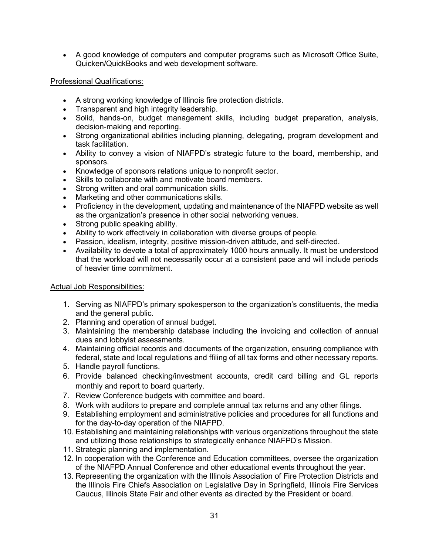• A good knowledge of computers and computer programs such as Microsoft Office Suite, Quicken/QuickBooks and web development software.

#### Professional Qualifications:

- A strong working knowledge of Illinois fire protection districts.
- Transparent and high integrity leadership.
- Solid, hands-on, budget management skills, including budget preparation, analysis, decision-making and reporting.
- Strong organizational abilities including planning, delegating, program development and task facilitation.
- Ability to convey a vision of NIAFPD's strategic future to the board, membership, and sponsors.
- Knowledge of sponsors relations unique to nonprofit sector.
- Skills to collaborate with and motivate board members.
- Strong written and oral communication skills.
- Marketing and other communications skills.
- Proficiency in the development, updating and maintenance of the NIAFPD website as well as the organization's presence in other social networking venues.
- Strong public speaking ability.
- Ability to work effectively in collaboration with diverse groups of people.
- Passion, idealism, integrity, positive mission-driven attitude, and self-directed.
- Availability to devote a total of approximately 1000 hours annually. It must be understood that the workload will not necessarily occur at a consistent pace and will include periods of heavier time commitment.

#### Actual Job Responsibilities:

- 1. Serving as NIAFPD's primary spokesperson to the organization's constituents, the media and the general public.
- 2. Planning and operation of annual budget.
- 3. Maintaining the membership database including the invoicing and collection of annual dues and lobbyist assessments.
- 4. Maintaining official records and documents of the organization, ensuring compliance with federal, state and local regulations and ffiling of all tax forms and other necessary reports.
- 5. Handle payroll functions.
- 6. Provide balanced checking/investment accounts, credit card billing and GL reports monthly and report to board quarterly.
- 7. Review Conference budgets with committee and board.
- 8. Work with auditors to prepare and complete annual tax returns and any other filings.
- 9. Establishing employment and administrative policies and procedures for all functions and for the day-to-day operation of the NIAFPD.
- 10. Establishing and maintaining relationships with various organizations throughout the state and utilizing those relationships to strategically enhance NIAFPD's Mission.
- 11. Strategic planning and implementation.
- 12. In cooperation with the Conference and Education committees, oversee the organization of the NIAFPD Annual Conference and other educational events throughout the year.
- 13. Representing the organization with the Illinois Association of Fire Protection Districts and the Illinois Fire Chiefs Association on Legislative Day in Springfield, Illinois Fire Services Caucus, Illinois State Fair and other events as directed by the President or board.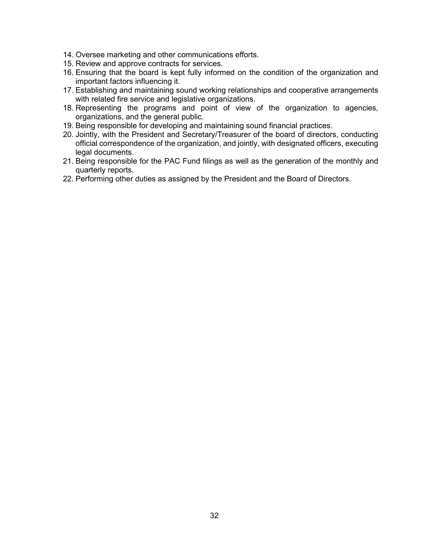- 14. Oversee marketing and other communications efforts.
- 15. Review and approve contracts for services.
- 16. Ensuring that the board is kept fully informed on the condition of the organization and important factors influencing it.
- 17. Establishing and maintaining sound working relationships and cooperative arrangements with related fire service and legislative organizations.
- 18. Representing the programs and point of view of the organization to agencies, organizations, and the general public.
- 19. Being responsible for developing and maintaining sound financial practices.
- 20. Jointly, with the President and Secretary/Treasurer of the board of directors, conducting official correspondence of the organization, and jointly, with designated officers, executing legal documents.
- 21. Being responsible for the PAC Fund filings as well as the generation of the monthly and quarterly reports.
- 22. Performing other duties as assigned by the President and the Board of Directors.